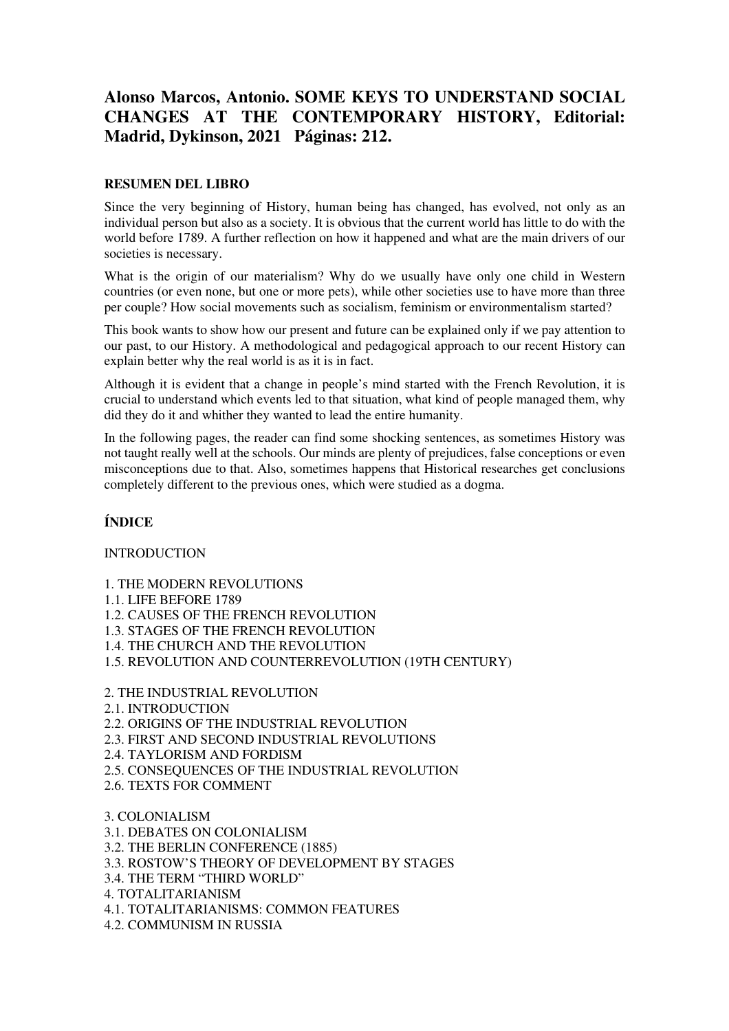## **Alonso Marcos, Antonio. SOME KEYS TO UNDERSTAND SOCIAL CHANGES AT THE CONTEMPORARY HISTORY, Editorial: Madrid, Dykinson, 2021 Páginas: 212.**

## **RESUMEN DEL LIBRO**

Since the very beginning of History, human being has changed, has evolved, not only as an individual person but also as a society. It is obvious that the current world has little to do with the world before 1789. A further reflection on how it happened and what are the main drivers of our societies is necessary.

What is the origin of our materialism? Why do we usually have only one child in Western countries (or even none, but one or more pets), while other societies use to have more than three per couple? How social movements such as socialism, feminism or environmentalism started?

This book wants to show how our present and future can be explained only if we pay attention to our past, to our History. A methodological and pedagogical approach to our recent History can explain better why the real world is as it is in fact.

Although it is evident that a change in people's mind started with the French Revolution, it is crucial to understand which events led to that situation, what kind of people managed them, why did they do it and whither they wanted to lead the entire humanity.

In the following pages, the reader can find some shocking sentences, as sometimes History was not taught really well at the schools. Our minds are plenty of prejudices, false conceptions or even misconceptions due to that. Also, sometimes happens that Historical researches get conclusions completely different to the previous ones, which were studied as a dogma.

## **ÍNDICE**

## INTRODUCTION

- 1. THE MODERN REVOLUTIONS
- 1.1. LIFE BEFORE 1789
- 1.2. CAUSES OF THE FRENCH REVOLUTION
- 1.3. STAGES OF THE FRENCH REVOLUTION
- 1.4. THE CHURCH AND THE REVOLUTION
- 1.5. REVOLUTION AND COUNTERREVOLUTION (19TH CENTURY)
- 2. THE INDUSTRIAL REVOLUTION
- 2.1. INTRODUCTION
- 2.2. ORIGINS OF THE INDUSTRIAL REVOLUTION
- 2.3. FIRST AND SECOND INDUSTRIAL REVOLUTIONS
- 2.4. TAYLORISM AND FORDISM
- 2.5. CONSEQUENCES OF THE INDUSTRIAL REVOLUTION
- 2.6. TEXTS FOR COMMENT

3. COLONIALISM 3.1. DEBATES ON COLONIALISM 3.2. THE BERLIN CONFERENCE (1885) 3.3. ROSTOW'S THEORY OF DEVELOPMENT BY STAGES 3.4. THE TERM "THIRD WORLD" 4. TOTALITARIANISM 4.1. TOTALITARIANISMS: COMMON FEATURES 4.2. COMMUNISM IN RUSSIA